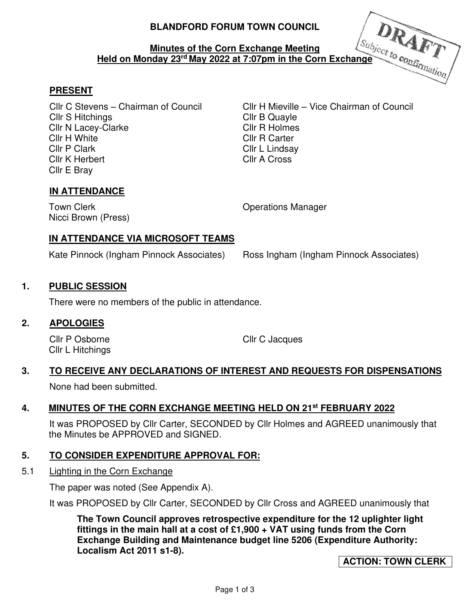# **BLANDFORD FORUM TOWN COUNCIL**

# **Minutes of the Corn Exchange Meeting Held on Monday 23<sup>rd</sup> May 2022 at 7:07pm in the Corn Exchange and Alexandre Conduction**

## **PRESENT**

**Cllr S Hitchings** Cllr B Quayle Cllr N Lacey-Clarke Cllr R Holmes Cllr H White Cllr R Carter Cllr P Clark Cllr L Lindsay **Clir K Herbert Clir A Cross** Cllr E Bray

Cllr C Stevens – Chairman of Council Cllr H Mieville – Vice Chairman of Council

## **IN ATTENDANCE**

Nicci Brown (Press)

Town Clerk **Clerk Clerge Contract Contract Contract Contract Contract Contract Contract Contract Contract Contract Contract Contract Contract Contract Contract Contract Contract Contract Contract Contract Contract Contra** 

## **IN ATTENDANCE VIA MICROSOFT TEAMS**

Kate Pinnock (Ingham Pinnock Associates) Ross Ingham (Ingham Pinnock Associates)

## **1. PUBLIC SESSION**

There were no members of the public in attendance.

#### **2. APOLOGIES**

Cllr P Osborne Cllr C Jacques Cllr L Hitchings

# **3. TO RECEIVE ANY DECLARATIONS OF INTEREST AND REQUESTS FOR DISPENSATIONS**

None had been submitted.

# **4. MINUTES OF THE CORN EXCHANGE MEETING HELD ON 21st FEBRUARY 2022**

 It was PROPOSED by Cllr Carter, SECONDED by Cllr Holmes and AGREED unanimously that the Minutes be APPROVED and SIGNED.

#### **5. TO CONSIDER EXPENDITURE APPROVAL FOR:**

#### 5.1 Lighting in the Corn Exchange

The paper was noted (See Appendix A).

It was PROPOSED by Cllr Carter, SECONDED by Cllr Cross and AGREED unanimously that

**The Town Council approves retrospective expenditure for the 12 uplighter light fittings in the main hall at a cost of £1,900 + VAT using funds from the Corn Exchange Building and Maintenance budget line 5206 (Expenditure Authority: Localism Act 2011 s1-8).** 

**ACTION: TOWN CLERK**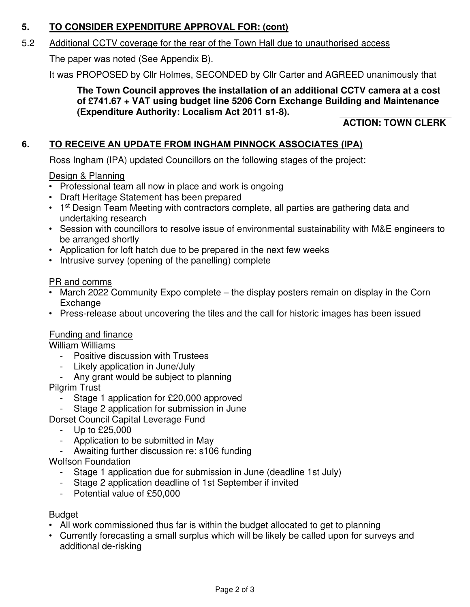# **5. TO CONSIDER EXPENDITURE APPROVAL FOR: (cont)**

# 5.2 Additional CCTV coverage for the rear of the Town Hall due to unauthorised access

The paper was noted (See Appendix B).

It was PROPOSED by Cllr Holmes, SECONDED by Cllr Carter and AGREED unanimously that

**The Town Council approves the installation of an additional CCTV camera at a cost of £741.67 + VAT using budget line 5206 Corn Exchange Building and Maintenance (Expenditure Authority: Localism Act 2011 s1-8).** 

**ACTION: TOWN CLERK** 

# **6. TO RECEIVE AN UPDATE FROM INGHAM PINNOCK ASSOCIATES (IPA)**

Ross Ingham (IPA) updated Councillors on the following stages of the project:

# Design & Planning

- Professional team all now in place and work is ongoing
- Draft Heritage Statement has been prepared
- 1<sup>st</sup> Design Team Meeting with contractors complete, all parties are gathering data and undertaking research
- Session with councillors to resolve issue of environmental sustainability with M&E engineers to be arranged shortly
- Application for loft hatch due to be prepared in the next few weeks
- Intrusive survey (opening of the panelling) complete

# PR and comms

- March 2022 Community Expo complete the display posters remain on display in the Corn Exchange
- Press-release about uncovering the tiles and the call for historic images has been issued

# Funding and finance

# William Williams

- Positive discussion with Trustees
- Likely application in June/July
- Any grant would be subject to planning

Pilgrim Trust

- Stage 1 application for £20,000 approved
- Stage 2 application for submission in June

Dorset Council Capital Leverage Fund

- Up to £25,000
- Application to be submitted in May
- Awaiting further discussion re: s106 funding

Wolfson Foundation

- Stage 1 application due for submission in June (deadline 1st July)
- Stage 2 application deadline of 1st September if invited
- Potential value of £50,000

# Budget

- All work commissioned thus far is within the budget allocated to get to planning
- Currently forecasting a small surplus which will be likely be called upon for surveys and additional de-risking